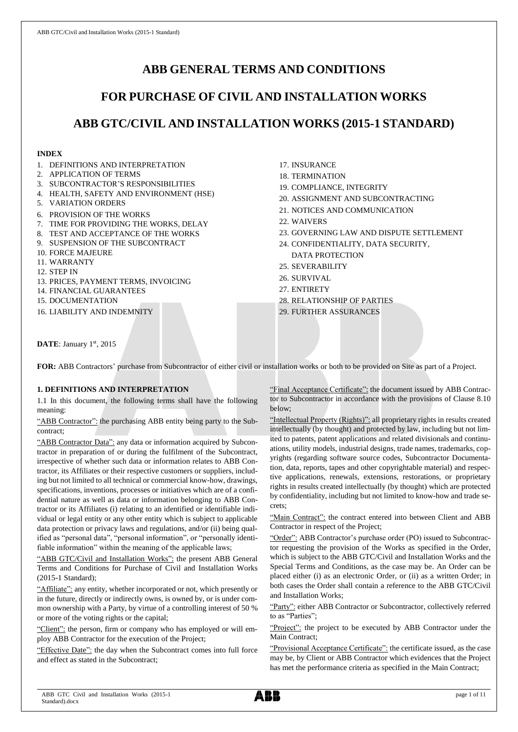# **ABB GENERAL TERMS AND CONDITIONS**

# **FOR PURCHASE OF CIVIL AND INSTALLATION WORKS**

# **ABB GTC/CIVIL AND INSTALLATION WORKS (2015-1 STANDARD)**

# **INDEX**

- 1. DEFINITIONS AND INTERPRETATION
- 2. APPLICATION OF TERMS
- 3. SUBCONTRACTOR'S RESPONSIBILITIES
- 4. HEALTH, SAFETY AND ENVIRONMENT (HSE)
- 5. VARIATION ORDERS
- 6. PROVISION OF THE WORKS
- 7. TIME FOR PROVIDING THE WORKS, DELAY
- 8. TEST AND ACCEPTANCE OF THE WORKS
- 9. SUSPENSION OF THE SUBCONTRACT
- 10. FORCE MAJEURE
- 11. WARRANTY
- 12. STEP IN
- 13. PRICES, PAYMENT TERMS, INVOICING
- 14. FINANCIAL GUARANTEES
- 15. DOCUMENTATION

16. LIABILITY AND INDEMNITY

- 17. INSURANCE
- 18. TERMINATION
- 19. COMPLIANCE, INTEGRITY
- 20. ASSIGNMENT AND SUBCONTRACTING
- 21. NOTICES AND COMMUNICATION
- 22. WAIVERS
- 23. GOVERNING LAW AND DISPUTE SETTLEMENT
- 24. CONFIDENTIALITY, DATA SECURITY, DATA PROTECTION
- 25. SEVERABILITY
- 26. SURVIVAL
- 27. ENTIRETY
- 28. RELATIONSHIP OF PARTIES
- 29. FURTHER ASSURANCES

DATE: January 1st, 2015

FOR: ABB Contractors' purchase from Subcontractor of either civil or installation works or both to be provided on Site as part of a Project.

# **1. DEFINITIONS AND INTERPRETATION**

1.1 In this document, the following terms shall have the following meaning:

"ABB Contractor": the purchasing ABB entity being party to the Subcontract;

"ABB Contractor Data": any data or information acquired by Subcontractor in preparation of or during the fulfilment of the Subcontract, irrespective of whether such data or information relates to ABB Contractor, its Affiliates or their respective customers or suppliers, including but not limited to all technical or commercial know-how, drawings, specifications, inventions, processes or initiatives which are of a confidential nature as well as data or information belonging to ABB Contractor or its Affiliates (i) relating to an identified or identifiable individual or legal entity or any other entity which is subject to applicable data protection or privacy laws and regulations, and/or (ii) being qualified as "personal data", "personal information", or "personally identifiable information" within the meaning of the applicable laws;

"ABB GTC/Civil and Installation Works": the present ABB General Terms and Conditions for Purchase of Civil and Installation Works (2015-1 Standard);

"Affiliate": any entity, whether incorporated or not, which presently or in the future, directly or indirectly owns, is owned by, or is under common ownership with a Party, by virtue of a controlling interest of 50 % or more of the voting rights or the capital;

"Client": the person, firm or company who has employed or will employ ABB Contractor for the execution of the Project;

"Effective Date": the day when the Subcontract comes into full force and effect as stated in the Subcontract;

"Final Acceptance Certificate": the document issued by ABB Contractor to Subcontractor in accordance with the provisions of Clause 8.10 below;

"Intellectual Property (Rights)": all proprietary rights in results created intellectually (by thought) and protected by law, including but not limited to patents, patent applications and related divisionals and continuations, utility models, industrial designs, trade names, trademarks, copyrights (regarding software source codes, Subcontractor Documentation, data, reports, tapes and other copyrightable material) and respective applications, renewals, extensions, restorations, or proprietary rights in results created intellectually (by thought) which are protected by confidentiality, including but not limited to know-how and trade secrets;

"Main Contract": the contract entered into between Client and ABB Contractor in respect of the Project;

"Order": ABB Contractor's purchase order (PO) issued to Subcontractor requesting the provision of the Works as specified in the Order, which is subject to the ABB GTC/Civil and Installation Works and the Special Terms and Conditions, as the case may be. An Order can be placed either (i) as an electronic Order, or (ii) as a written Order; in both cases the Order shall contain a reference to the ABB GTC/Civil and Installation Works;

"Party": either ABB Contractor or Subcontractor, collectively referred to as "Parties";

"Project": the project to be executed by ABB Contractor under the Main Contract;

"Provisional Acceptance Certificate": the certificate issued, as the case may be, by Client or ABB Contractor which evidences that the Project has met the performance criteria as specified in the Main Contract;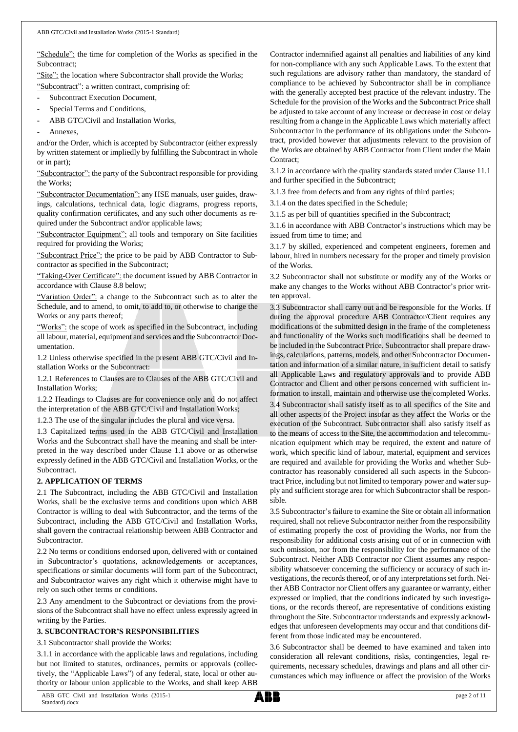"Schedule": the time for completion of the Works as specified in the Subcontract;

"Site": the location where Subcontractor shall provide the Works;

"Subcontract": a written contract, comprising of:

- Subcontract Execution Document,
- Special Terms and Conditions,
- ABB GTC/Civil and Installation Works,
- Annexes.

and/or the Order, which is accepted by Subcontractor (either expressly by written statement or impliedly by fulfilling the Subcontract in whole or in part);

"Subcontractor": the party of the Subcontract responsible for providing the Works;

"Subcontractor Documentation": any HSE manuals, user guides, drawings, calculations, technical data, logic diagrams, progress reports, quality confirmation certificates, and any such other documents as required under the Subcontract and/or applicable laws;

"Subcontractor Equipment": all tools and temporary on Site facilities required for providing the Works;

"Subcontract Price": the price to be paid by ABB Contractor to Subcontractor as specified in the Subcontract;

"Taking-Over Certificate": the document issued by ABB Contractor in accordance with Clause 8.8 below;

"Variation Order": a change to the Subcontract such as to alter the Schedule, and to amend, to omit, to add to, or otherwise to change the Works or any parts thereof;

"Works": the scope of work as specified in the Subcontract, including all labour, material, equipment and services and the Subcontractor Documentation.

1.2 Unless otherwise specified in the present ABB GTC/Civil and Installation Works or the Subcontract:

1.2.1 References to Clauses are to Clauses of the ABB GTC/Civil and Installation Works;

1.2.2 Headings to Clauses are for convenience only and do not affect the interpretation of the ABB GTC/Civil and Installation Works;

1.2.3 The use of the singular includes the plural and vice versa.

1.3 Capitalized terms used in the ABB GTC/Civil and Installation Works and the Subcontract shall have the meaning and shall be interpreted in the way described under Clause 1.1 above or as otherwise expressly defined in the ABB GTC/Civil and Installation Works, or the Subcontract.

# **2. APPLICATION OF TERMS**

2.1 The Subcontract, including the ABB GTC/Civil and Installation Works, shall be the exclusive terms and conditions upon which ABB Contractor is willing to deal with Subcontractor, and the terms of the Subcontract, including the ABB GTC/Civil and Installation Works, shall govern the contractual relationship between ABB Contractor and Subcontractor.

2.2 No terms or conditions endorsed upon, delivered with or contained in Subcontractor's quotations, acknowledgements or acceptances, specifications or similar documents will form part of the Subcontract, and Subcontractor waives any right which it otherwise might have to rely on such other terms or conditions.

2.3 Any amendment to the Subcontract or deviations from the provisions of the Subcontract shall have no effect unless expressly agreed in writing by the Parties.

## **3. SUBCONTRACTOR'S RESPONSIBILITIES**

3.1 Subcontractor shall provide the Works:

3.1.1 in accordance with the applicable laws and regulations, including but not limited to statutes, ordinances, permits or approvals (collectively, the "Applicable Laws") of any federal, state, local or other authority or labour union applicable to the Works, and shall keep ABB

Contractor indemnified against all penalties and liabilities of any kind for non-compliance with any such Applicable Laws. To the extent that such regulations are advisory rather than mandatory, the standard of compliance to be achieved by Subcontractor shall be in compliance with the generally accepted best practice of the relevant industry. The Schedule for the provision of the Works and the Subcontract Price shall be adjusted to take account of any increase or decrease in cost or delay resulting from a change in the Applicable Laws which materially affect Subcontractor in the performance of its obligations under the Subcontract, provided however that adjustments relevant to the provision of the Works are obtained by ABB Contractor from Client under the Main Contract:

3.1.2 in accordance with the quality standards stated under Clause 11.1 and further specified in the Subcontract;

3.1.3 free from defects and from any rights of third parties;

3.1.4 on the dates specified in the Schedule;

3.1.5 as per bill of quantities specified in the Subcontract;

3.1.6 in accordance with ABB Contractor's instructions which may be issued from time to time; and

3.1.7 by skilled, experienced and competent engineers, foremen and labour, hired in numbers necessary for the proper and timely provision of the Works.

3.2 Subcontractor shall not substitute or modify any of the Works or make any changes to the Works without ABB Contractor's prior written approval.

3.3 Subcontractor shall carry out and be responsible for the Works. If during the approval procedure ABB Contractor/Client requires any modifications of the submitted design in the frame of the completeness and functionality of the Works such modifications shall be deemed to be included in the Subcontract Price. Subcontractor shall prepare drawings, calculations, patterns, models, and other Subcontractor Documentation and information of a similar nature, in sufficient detail to satisfy all Applicable Laws and regulatory approvals and to provide ABB Contractor and Client and other persons concerned with sufficient information to install, maintain and otherwise use the completed Works.

3.4 Subcontractor shall satisfy itself as to all specifics of the Site and all other aspects of the Project insofar as they affect the Works or the execution of the Subcontract. Subcontractor shall also satisfy itself as to the means of access to the Site, the accommodation and telecommunication equipment which may be required, the extent and nature of work, which specific kind of labour, material, equipment and services are required and available for providing the Works and whether Subcontractor has reasonably considered all such aspects in the Subcontract Price, including but not limited to temporary power and water supply and sufficient storage area for which Subcontractor shall be responsible.

3.5 Subcontractor's failure to examine the Site or obtain all information required, shall not relieve Subcontractor neither from the responsibility of estimating properly the cost of providing the Works, nor from the responsibility for additional costs arising out of or in connection with such omission, nor from the responsibility for the performance of the Subcontract. Neither ABB Contractor nor Client assumes any responsibility whatsoever concerning the sufficiency or accuracy of such investigations, the records thereof, or of any interpretations set forth. Neither ABB Contractor nor Client offers any guarantee or warranty, either expressed or implied, that the conditions indicated by such investigations, or the records thereof, are representative of conditions existing throughout the Site. Subcontractor understands and expressly acknowledges that unforeseen developments may occur and that conditions different from those indicated may be encountered.

3.6 Subcontractor shall be deemed to have examined and taken into consideration all relevant conditions, risks, contingencies, legal requirements, necessary schedules, drawings and plans and all other circumstances which may influence or affect the provision of the Works

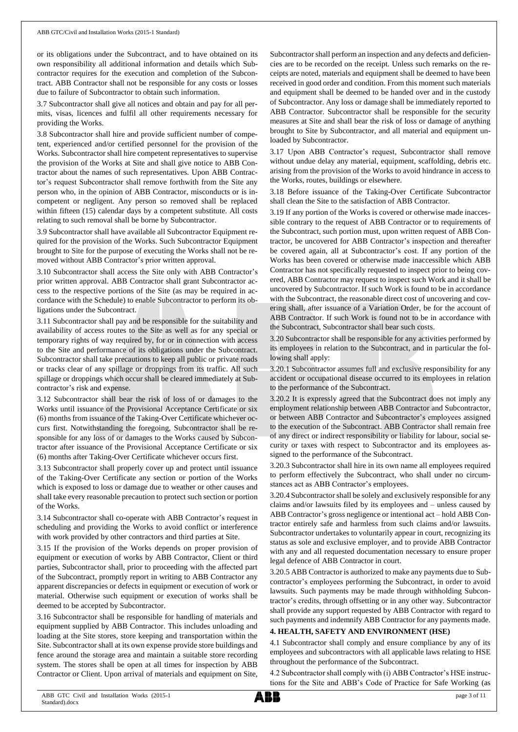or its obligations under the Subcontract, and to have obtained on its own responsibility all additional information and details which Subcontractor requires for the execution and completion of the Subcontract. ABB Contractor shall not be responsible for any costs or losses due to failure of Subcontractor to obtain such information.

3.7 Subcontractor shall give all notices and obtain and pay for all permits, visas, licences and fulfil all other requirements necessary for providing the Works.

3.8 Subcontractor shall hire and provide sufficient number of competent, experienced and/or certified personnel for the provision of the Works. Subcontractor shall hire competent representatives to supervise the provision of the Works at Site and shall give notice to ABB Contractor about the names of such representatives. Upon ABB Contractor's request Subcontractor shall remove forthwith from the Site any person who, in the opinion of ABB Contractor, misconducts or is incompetent or negligent. Any person so removed shall be replaced within fifteen (15) calendar days by a competent substitute. All costs relating to such removal shall be borne by Subcontractor.

3.9 Subcontractor shall have available all Subcontractor Equipment required for the provision of the Works. Such Subcontractor Equipment brought to Site for the purpose of executing the Works shall not be removed without ABB Contractor's prior written approval.

3.10 Subcontractor shall access the Site only with ABB Contractor's prior written approval. ABB Contractor shall grant Subcontractor access to the respective portions of the Site (as may be required in accordance with the Schedule) to enable Subcontractor to perform its obligations under the Subcontract.

3.11 Subcontractor shall pay and be responsible for the suitability and availability of access routes to the Site as well as for any special or temporary rights of way required by, for or in connection with access to the Site and performance of its obligations under the Subcontract. Subcontractor shall take precautions to keep all public or private roads or tracks clear of any spillage or droppings from its traffic. All such spillage or droppings which occur shall be cleared immediately at Subcontractor's risk and expense.

3.12 Subcontractor shall bear the risk of loss of or damages to the Works until issuance of the Provisional Acceptance Certificate or six (6) months from issuance of the Taking-Over Certificate whichever occurs first. Notwithstanding the foregoing, Subcontractor shall be responsible for any loss of or damages to the Works caused by Subcontractor after issuance of the Provisional Acceptance Certificate or six (6) months after Taking-Over Certificate whichever occurs first.

3.13 Subcontractor shall properly cover up and protect until issuance of the Taking-Over Certificate any section or portion of the Works which is exposed to loss or damage due to weather or other causes and shall take every reasonable precaution to protect such section or portion of the Works.

3.14 Subcontractor shall co-operate with ABB Contractor's request in scheduling and providing the Works to avoid conflict or interference with work provided by other contractors and third parties at Site.

3.15 If the provision of the Works depends on proper provision of equipment or execution of works by ABB Contractor, Client or third parties, Subcontractor shall, prior to proceeding with the affected part of the Subcontract, promptly report in writing to ABB Contractor any apparent discrepancies or defects in equipment or execution of work or material. Otherwise such equipment or execution of works shall be deemed to be accepted by Subcontractor.

3.16 Subcontractor shall be responsible for handling of materials and equipment supplied by ABB Contractor. This includes unloading and loading at the Site stores, store keeping and transportation within the Site. Subcontractor shall at its own expense provide store buildings and fence around the storage area and maintain a suitable store recording system. The stores shall be open at all times for inspection by ABB Contractor or Client. Upon arrival of materials and equipment on Site,

Subcontractor shall perform an inspection and any defects and deficiencies are to be recorded on the receipt. Unless such remarks on the receipts are noted, materials and equipment shall be deemed to have been received in good order and condition. From this moment such materials and equipment shall be deemed to be handed over and in the custody of Subcontractor. Any loss or damage shall be immediately reported to ABB Contractor. Subcontractor shall be responsible for the security measures at Site and shall bear the risk of loss or damage of anything brought to Site by Subcontractor, and all material and equipment unloaded by Subcontractor.

3.17 Upon ABB Contractor's request, Subcontractor shall remove without undue delay any material, equipment, scaffolding, debris etc. arising from the provision of the Works to avoid hindrance in access to the Works, routes, buildings or elsewhere.

3.18 Before issuance of the Taking-Over Certificate Subcontractor shall clean the Site to the satisfaction of ABB Contractor.

3.19 If any portion of the Works is covered or otherwise made inaccessible contrary to the request of ABB Contractor or to requirements of the Subcontract, such portion must, upon written request of ABB Contractor, be uncovered for ABB Contractor's inspection and thereafter be covered again, all at Subcontractor's cost. If any portion of the Works has been covered or otherwise made inaccessible which ABB Contractor has not specifically requested to inspect prior to being covered, ABB Contractor may request to inspect such Work and it shall be uncovered by Subcontractor. If such Work is found to be in accordance with the Subcontract, the reasonable direct cost of uncovering and covering shall, after issuance of a Variation Order, be for the account of ABB Contractor. If such Work is found not to be in accordance with the Subcontract, Subcontractor shall bear such costs.

3.20 Subcontractor shall be responsible for any activities performed by its employees in relation to the Subcontract, and in particular the following shall apply:

3.20.1 Subcontractor assumes full and exclusive responsibility for any accident or occupational disease occurred to its employees in relation to the performance of the Subcontract.

3.20.2 It is expressly agreed that the Subcontract does not imply any employment relationship between ABB Contractor and Subcontractor, or between ABB Contractor and Subcontractor's employees assigned to the execution of the Subcontract. ABB Contractor shall remain free of any direct or indirect responsibility or liability for labour, social security or taxes with respect to Subcontractor and its employees assigned to the performance of the Subcontract.

3.20.3 Subcontractor shall hire in its own name all employees required to perform effectively the Subcontract, who shall under no circumstances act as ABB Contractor's employees.

3.20.4 Subcontractorshall be solely and exclusively responsible for any claims and/or lawsuits filed by its employees and – unless caused by ABB Contractor's gross negligence or intentional act – hold ABB Contractor entirely safe and harmless from such claims and/or lawsuits. Subcontractor undertakes to voluntarily appear in court, recognizing its status as sole and exclusive employer, and to provide ABB Contractor with any and all requested documentation necessary to ensure proper legal defence of ABB Contractor in court.

3.20.5 ABB Contractor is authorized to make any payments due to Subcontractor's employees performing the Subcontract, in order to avoid lawsuits. Such payments may be made through withholding Subcontractor's credits, through offsetting or in any other way. Subcontractor shall provide any support requested by ABB Contractor with regard to such payments and indemnify ABB Contractor for any payments made.

# **4. HEALTH, SAFETY AND ENVIRONMENT (HSE)**

4.1 Subcontractor shall comply and ensure compliance by any of its employees and subcontractors with all applicable laws relating to HSE throughout the performance of the Subcontract.

4.2 Subcontractor shall comply with (i) ABB Contractor's HSE instructions for the Site and ABB's Code of Practice for Safe Working (as

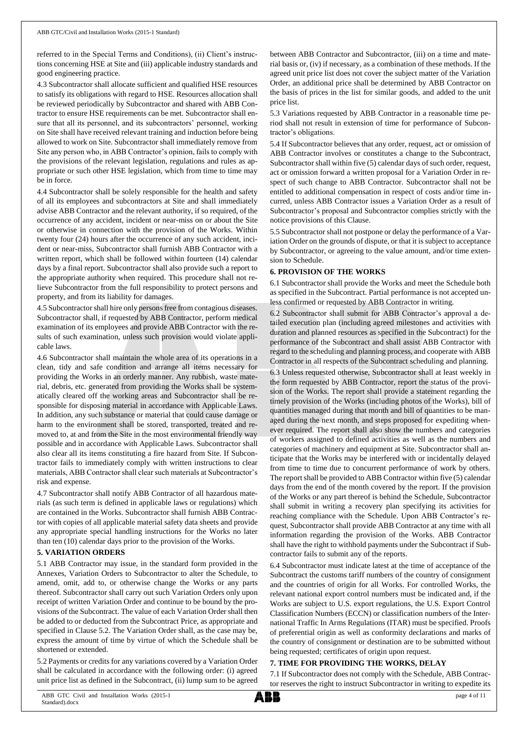referred to in the Special Terms and Conditions), (ii) Client's instructions concerning HSE at Site and (iii) applicable industry standards and good engineering practice.

4.3 Subcontractor shall allocate sufficient and qualified HSE resources to satisfy its obligations with regard to HSE. Resources allocation shall be reviewed periodically by Subcontractor and shared with ABB Contractor to ensure HSE requirements can be met. Subcontractor shall ensure that all its personnel, and its subcontractors' personnel, working on Site shall have received relevant training and induction before being allowed to work on Site. Subcontractor shall immediately remove from Site any person who, in ABB Contractor's opinion, fails to comply with the provisions of the relevant legislation, regulations and rules as appropriate or such other HSE legislation, which from time to time may be in force.

4.4 Subcontractor shall be solely responsible for the health and safety of all its employees and subcontractors at Site and shall immediately advise ABB Contractor and the relevant authority, if so required, of the occurrence of any accident, incident or near-miss on or about the Site or otherwise in connection with the provision of the Works. Within twenty four (24) hours after the occurrence of any such accident, incident or near-miss, Subcontractor shall furnish ABB Contractor with a written report, which shall be followed within fourteen (14) calendar days by a final report. Subcontractor shall also provide such a report to the appropriate authority when required. This procedure shall not relieve Subcontractor from the full responsibility to protect persons and property, and from its liability for damages.

4.5 Subcontractor shall hire only persons free from contagious diseases. Subcontractor shall, if requested by ABB Contractor, perform medical examination of its employees and provide ABB Contractor with the results of such examination, unless such provision would violate applicable laws.

4.6 Subcontractor shall maintain the whole area of its operations in a clean, tidy and safe condition and arrange all items necessary for providing the Works in an orderly manner. Any rubbish, waste material, debris, etc. generated from providing the Works shall be systematically cleared off the working areas and Subcontractor shall be responsible for disposing material in accordance with Applicable Laws. In addition, any such substance or material that could cause damage or harm to the environment shall be stored, transported, treated and removed to, at and from the Site in the most environmental friendly way possible and in accordance with Applicable Laws. Subcontractor shall also clear all its items constituting a fire hazard from Site. If Subcontractor fails to immediately comply with written instructions to clear materials, ABB Contractor shall clear such materials at Subcontractor's risk and expense.

4.7 Subcontractor shall notify ABB Contractor of all hazardous materials (as such term is defined in applicable laws or regulations) which are contained in the Works. Subcontractor shall furnish ABB Contractor with copies of all applicable material safety data sheets and provide any appropriate special handling instructions for the Works no later than ten (10) calendar days prior to the provision of the Works.

### **5. VARIATION ORDERS**

5.1 ABB Contractor may issue, in the standard form provided in the Annexes, Variation Orders to Subcontractor to alter the Schedule, to amend, omit, add to, or otherwise change the Works or any parts thereof. Subcontractor shall carry out such Variation Orders only upon receipt of written Variation Order and continue to be bound by the provisions of the Subcontract. The value of each Variation Order shall then be added to or deducted from the Subcontract Price, as appropriate and specified in Clause 5.2. The Variation Order shall, as the case may be, express the amount of time by virtue of which the Schedule shall be shortened or extended.

5.2 Payments or credits for any variations covered by a Variation Order shall be calculated in accordance with the following order: (i) agreed unit price list as defined in the Subcontract, (ii) lump sum to be agreed

between ABB Contractor and Subcontractor, (iii) on a time and material basis or, (iv) if necessary, as a combination of these methods. If the agreed unit price list does not cover the subject matter of the Variation Order, an additional price shall be determined by ABB Contractor on the basis of prices in the list for similar goods, and added to the unit price list.

5.3 Variations requested by ABB Contractor in a reasonable time period shall not result in extension of time for performance of Subcontractor's obligations.

5.4 If Subcontractor believes that any order, request, act or omission of ABB Contractor involves or constitutes a change to the Subcontract, Subcontractor shall within five (5) calendar days of such order, request, act or omission forward a written proposal for a Variation Order in respect of such change to ABB Contractor. Subcontractor shall not be entitled to additional compensation in respect of costs and/or time incurred, unless ABB Contractor issues a Variation Order as a result of Subcontractor's proposal and Subcontractor complies strictly with the notice provisions of this Clause.

5.5 Subcontractor shall not postpone or delay the performance of a Variation Order on the grounds of dispute, or that it is subject to acceptance by Subcontractor, or agreeing to the value amount, and/or time extension to Schedule.

## **6. PROVISION OF THE WORKS**

6.1 Subcontractor shall provide the Works and meet the Schedule both as specified in the Subcontract. Partial performance is not accepted unless confirmed or requested by ABB Contractor in writing.

6.2 Subcontractor shall submit for ABB Contractor's approval a detailed execution plan (including agreed milestones and activities with duration and planned resources as specified in the Subcontract) for the performance of the Subcontract and shall assist ABB Contractor with regard to the scheduling and planning process, and cooperate with ABB Contractor in all respects of the Subcontract scheduling and planning.

6.3 Unless requested otherwise, Subcontractor shall at least weekly in the form requested by ABB Contractor, report the status of the provision of the Works. The report shall provide a statement regarding the timely provision of the Works (including photos of the Works), bill of quantities managed during that month and bill of quantities to be managed during the next month, and steps proposed for expediting whenever required. The report shall also show the numbers and categories of workers assigned to defined activities as well as the numbers and categories of machinery and equipment at Site. Subcontractor shall anticipate that the Works may be interfered with or incidentally delayed from time to time due to concurrent performance of work by others. The report shall be provided to ABB Contractor within five (5) calendar days from the end of the month covered by the report. If the provision of the Works or any part thereof is behind the Schedule, Subcontractor shall submit in writing a recovery plan specifying its activities for reaching compliance with the Schedule. Upon ABB Contractor's request, Subcontractor shall provide ABB Contractor at any time with all information regarding the provision of the Works. ABB Contractor shall have the right to withhold payments under the Subcontract if Subcontractor fails to submit any of the reports.

6.4 Subcontractor must indicate latest at the time of acceptance of the Subcontract the customs tariff numbers of the country of consignment and the countries of origin for all Works. For controlled Works, the relevant national export control numbers must be indicated and, if the Works are subject to U.S. export regulations, the U.S. Export Control Classification Numbers (ECCN) or classification numbers of the International Traffic In Arms Regulations (ITAR) must be specified. Proofs of preferential origin as well as conformity declarations and marks of the country of consignment or destination are to be submitted without being requested; certificates of origin upon request.

# **7. TIME FOR PROVIDING THE WORKS, DELAY**

7.1 If Subcontractor does not comply with the Schedule, ABB Contractor reserves the right to instruct Subcontractor in writing to expedite its

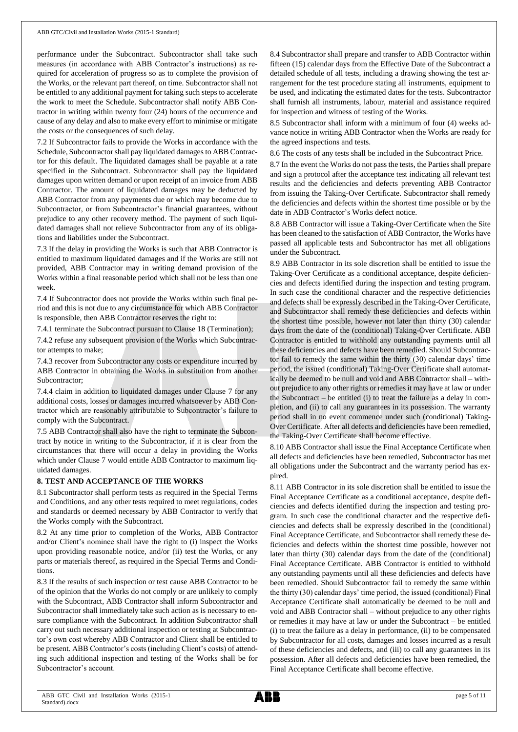performance under the Subcontract. Subcontractor shall take such measures (in accordance with ABB Contractor's instructions) as required for acceleration of progress so as to complete the provision of the Works, or the relevant part thereof, on time. Subcontractor shall not be entitled to any additional payment for taking such steps to accelerate the work to meet the Schedule. Subcontractor shall notify ABB Contractor in writing within twenty four (24) hours of the occurrence and cause of any delay and also to make every effort to minimise or mitigate the costs or the consequences of such delay.

7.2 If Subcontractor fails to provide the Works in accordance with the Schedule, Subcontractor shall pay liquidated damages to ABB Contractor for this default. The liquidated damages shall be payable at a rate specified in the Subcontract. Subcontractor shall pay the liquidated damages upon written demand or upon receipt of an invoice from ABB Contractor. The amount of liquidated damages may be deducted by ABB Contractor from any payments due or which may become due to Subcontractor, or from Subcontractor's financial guarantees, without prejudice to any other recovery method. The payment of such liquidated damages shall not relieve Subcontractor from any of its obligations and liabilities under the Subcontract.

7.3 If the delay in providing the Works is such that ABB Contractor is entitled to maximum liquidated damages and if the Works are still not provided, ABB Contractor may in writing demand provision of the Works within a final reasonable period which shall not be less than one week.

7.4 If Subcontractor does not provide the Works within such final period and this is not due to any circumstance for which ABB Contractor is responsible, then ABB Contractor reserves the right to:

7.4.1 terminate the Subcontract pursuant to Clause 18 (Termination);

7.4.2 refuse any subsequent provision of the Works which Subcontractor attempts to make;

7.4.3 recover from Subcontractor any costs or expenditure incurred by ABB Contractor in obtaining the Works in substitution from another Subcontractor;

7.4.4 claim in addition to liquidated damages under Clause 7 for any additional costs, losses or damages incurred whatsoever by ABB Contractor which are reasonably attributable to Subcontractor's failure to comply with the Subcontract.

7.5 ABB Contractor shall also have the right to terminate the Subcontract by notice in writing to the Subcontractor, if it is clear from the circumstances that there will occur a delay in providing the Works which under Clause 7 would entitle ABB Contractor to maximum liquidated damages.

### **8. TEST AND ACCEPTANCE OF THE WORKS**

8.1 Subcontractor shall perform tests as required in the Special Terms and Conditions, and any other tests required to meet regulations, codes and standards or deemed necessary by ABB Contractor to verify that the Works comply with the Subcontract.

8.2 At any time prior to completion of the Works, ABB Contractor and/or Client's nominee shall have the right to (i) inspect the Works upon providing reasonable notice, and/or (ii) test the Works, or any parts or materials thereof, as required in the Special Terms and Conditions.

8.3 If the results of such inspection or test cause ABB Contractor to be of the opinion that the Works do not comply or are unlikely to comply with the Subcontract, ABB Contractor shall inform Subcontractor and Subcontractor shall immediately take such action as is necessary to ensure compliance with the Subcontract. In addition Subcontractor shall carry out such necessary additional inspection or testing at Subcontractor's own cost whereby ABB Contractor and Client shall be entitled to be present. ABB Contractor's costs (including Client's costs) of attending such additional inspection and testing of the Works shall be for Subcontractor's account.

8.4 Subcontractor shall prepare and transfer to ABB Contractor within fifteen (15) calendar days from the Effective Date of the Subcontract a detailed schedule of all tests, including a drawing showing the test arrangement for the test procedure stating all instruments, equipment to be used, and indicating the estimated dates for the tests. Subcontractor shall furnish all instruments, labour, material and assistance required for inspection and witness of testing of the Works.

8.5 Subcontractor shall inform with a minimum of four (4) weeks advance notice in writing ABB Contractor when the Works are ready for the agreed inspections and tests.

8.6 The costs of any tests shall be included in the Subcontract Price.

8.7 In the event the Works do not pass the tests, the Parties shall prepare and sign a protocol after the acceptance test indicating all relevant test results and the deficiencies and defects preventing ABB Contractor from issuing the Taking-Over Certificate. Subcontractor shall remedy the deficiencies and defects within the shortest time possible or by the date in ABB Contractor's Works defect notice.

8.8 ABB Contractor will issue a Taking-Over Certificate when the Site has been cleaned to the satisfaction of ABB Contractor, the Works have passed all applicable tests and Subcontractor has met all obligations under the Subcontract.

8.9 ABB Contractor in its sole discretion shall be entitled to issue the Taking-Over Certificate as a conditional acceptance, despite deficiencies and defects identified during the inspection and testing program. In such case the conditional character and the respective deficiencies and defects shall be expressly described in the Taking-Over Certificate, and Subcontractor shall remedy these deficiencies and defects within the shortest time possible, however not later than thirty (30) calendar days from the date of the (conditional) Taking-Over Certificate. ABB Contractor is entitled to withhold any outstanding payments until all these deficiencies and defects have been remedied. Should Subcontractor fail to remedy the same within the thirty (30) calendar days' time period, the issued (conditional) Taking-Over Certificate shall automatically be deemed to be null and void and ABB Contractor shall – without prejudice to any other rights or remedies it may have at law or under the Subcontract – be entitled (i) to treat the failure as a delay in completion, and (ii) to call any guarantees in its possession. The warranty period shall in no event commence under such (conditional) Taking-Over Certificate. After all defects and deficiencies have been remedied, the Taking-Over Certificate shall become effective.

8.10 ABB Contractor shall issue the Final Acceptance Certificate when all defects and deficiencies have been remedied, Subcontractor has met all obligations under the Subcontract and the warranty period has expired.

8.11 ABB Contractor in its sole discretion shall be entitled to issue the Final Acceptance Certificate as a conditional acceptance, despite deficiencies and defects identified during the inspection and testing program. In such case the conditional character and the respective deficiencies and defects shall be expressly described in the (conditional) Final Acceptance Certificate, and Subcontractor shall remedy these deficiencies and defects within the shortest time possible, however not later than thirty (30) calendar days from the date of the (conditional) Final Acceptance Certificate. ABB Contractor is entitled to withhold any outstanding payments until all these deficiencies and defects have been remedied. Should Subcontractor fail to remedy the same within the thirty (30) calendar days' time period, the issued (conditional) Final Acceptance Certificate shall automatically be deemed to be null and void and ABB Contractor shall – without prejudice to any other rights or remedies it may have at law or under the Subcontract – be entitled (i) to treat the failure as a delay in performance, (ii) to be compensated by Subcontractor for all costs, damages and losses incurred as a result of these deficiencies and defects, and (iii) to call any guarantees in its possession. After all defects and deficiencies have been remedied, the Final Acceptance Certificate shall become effective.

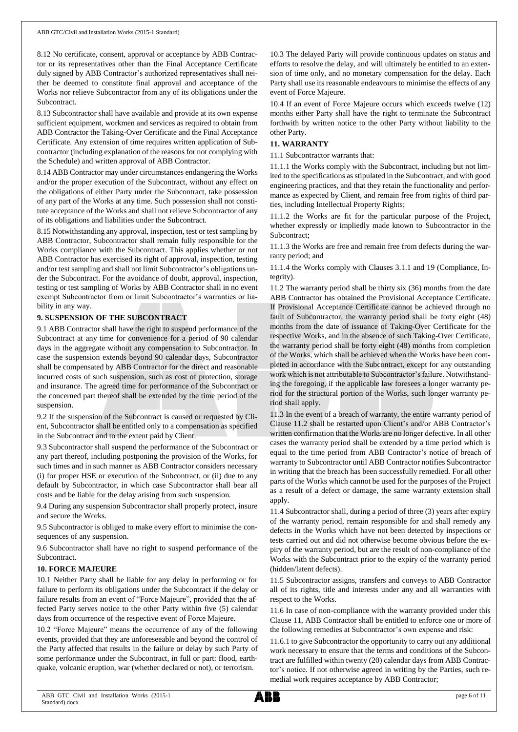8.12 No certificate, consent, approval or acceptance by ABB Contractor or its representatives other than the Final Acceptance Certificate duly signed by ABB Contractor's authorized representatives shall neither be deemed to constitute final approval and acceptance of the Works nor relieve Subcontractor from any of its obligations under the Subcontract.

8.13 Subcontractor shall have available and provide at its own expense sufficient equipment, workmen and services as required to obtain from ABB Contractor the Taking-Over Certificate and the Final Acceptance Certificate. Any extension of time requires written application of Subcontractor (including explanation of the reasons for not complying with the Schedule) and written approval of ABB Contractor.

8.14 ABB Contractor may under circumstances endangering the Works and/or the proper execution of the Subcontract, without any effect on the obligations of either Party under the Subcontract, take possession of any part of the Works at any time. Such possession shall not constitute acceptance of the Works and shall not relieve Subcontractor of any of its obligations and liabilities under the Subcontract.

8.15 Notwithstanding any approval, inspection, test or test sampling by ABB Contractor, Subcontractor shall remain fully responsible for the Works compliance with the Subcontract. This applies whether or not ABB Contractor has exercised its right of approval, inspection, testing and/or test sampling and shall not limit Subcontractor's obligations under the Subcontract. For the avoidance of doubt, approval, inspection, testing or test sampling of Works by ABB Contractor shall in no event exempt Subcontractor from or limit Subcontractor's warranties or liability in any way.

# **9. SUSPENSION OF THE SUBCONTRACT**

9.1 ABB Contractor shall have the right to suspend performance of the Subcontract at any time for convenience for a period of 90 calendar days in the aggregate without any compensation to Subcontractor. In case the suspension extends beyond 90 calendar days, Subcontractor shall be compensated by ABB Contractor for the direct and reasonable incurred costs of such suspension, such as cost of protection, storage and insurance. The agreed time for performance of the Subcontract or the concerned part thereof shall be extended by the time period of the suspension.

9.2 If the suspension of the Subcontract is caused or requested by Client, Subcontractor shall be entitled only to a compensation as specified in the Subcontract and to the extent paid by Client.

9.3 Subcontractor shall suspend the performance of the Subcontract or any part thereof, including postponing the provision of the Works, for such times and in such manner as ABB Contractor considers necessary (i) for proper HSE or execution of the Subcontract, or (ii) due to any default by Subcontractor, in which case Subcontractor shall bear all costs and be liable for the delay arising from such suspension.

9.4 During any suspension Subcontractor shall properly protect, insure and secure the Works.

9.5 Subcontractor is obliged to make every effort to minimise the consequences of any suspension.

9.6 Subcontractor shall have no right to suspend performance of the Subcontract.

# **10. FORCE MAJEURE**

10.1 Neither Party shall be liable for any delay in performing or for failure to perform its obligations under the Subcontract if the delay or failure results from an event of "Force Majeure", provided that the affected Party serves notice to the other Party within five (5) calendar days from occurrence of the respective event of Force Majeure.

10.2 "Force Majeure" means the occurrence of any of the following events, provided that they are unforeseeable and beyond the control of the Party affected that results in the failure or delay by such Party of some performance under the Subcontract, in full or part: flood, earthquake, volcanic eruption, war (whether declared or not), or terrorism.

10.3 The delayed Party will provide continuous updates on status and efforts to resolve the delay, and will ultimately be entitled to an extension of time only, and no monetary compensation for the delay. Each Party shall use its reasonable endeavours to minimise the effects of any event of Force Majeure.

10.4 If an event of Force Majeure occurs which exceeds twelve (12) months either Party shall have the right to terminate the Subcontract forthwith by written notice to the other Party without liability to the other Party.

# **11. WARRANTY**

11.1 Subcontractor warrants that:

11.1.1 the Works comply with the Subcontract, including but not limited to the specifications as stipulated in the Subcontract, and with good engineering practices, and that they retain the functionality and performance as expected by Client, and remain free from rights of third parties, including Intellectual Property Rights;

11.1.2 the Works are fit for the particular purpose of the Project, whether expressly or impliedly made known to Subcontractor in the Subcontract;

11.1.3 the Works are free and remain free from defects during the warranty period; and

11.1.4 the Works comply with Clauses 3.1.1 and 19 (Compliance, Integrity).

11.2 The warranty period shall be thirty six (36) months from the date ABB Contractor has obtained the Provisional Acceptance Certificate. If Provisional Acceptance Certificate cannot be achieved through no fault of Subcontractor, the warranty period shall be forty eight (48) months from the date of issuance of Taking-Over Certificate for the respective Works, and in the absence of such Taking-Over Certificate, the warranty period shall be forty eight (48) months from completion of the Works, which shall be achieved when the Works have been completed in accordance with the Subcontract, except for any outstanding work which is not attributable to Subcontractor's failure. Notwithstanding the foregoing, if the applicable law foresees a longer warranty period for the structural portion of the Works, such longer warranty period shall apply.

11.3 In the event of a breach of warranty, the entire warranty period of Clause 11.2 shall be restarted upon Client's and/or ABB Contractor's written confirmation that the Works are no longer defective. In all other cases the warranty period shall be extended by a time period which is equal to the time period from ABB Contractor's notice of breach of warranty to Subcontractor until ABB Contractor notifies Subcontractor in writing that the breach has been successfully remedied. For all other parts of the Works which cannot be used for the purposes of the Project as a result of a defect or damage, the same warranty extension shall apply.

11.4 Subcontractor shall, during a period of three (3) years after expiry of the warranty period, remain responsible for and shall remedy any defects in the Works which have not been detected by inspections or tests carried out and did not otherwise become obvious before the expiry of the warranty period, but are the result of non-compliance of the Works with the Subcontract prior to the expiry of the warranty period (hidden/latent defects).

11.5 Subcontractor assigns, transfers and conveys to ABB Contractor all of its rights, title and interests under any and all warranties with respect to the Works.

11.6 In case of non-compliance with the warranty provided under this Clause 11, ABB Contractor shall be entitled to enforce one or more of the following remedies at Subcontractor's own expense and risk:

11.6.1 to give Subcontractor the opportunity to carry out any additional work necessary to ensure that the terms and conditions of the Subcontract are fulfilled within twenty (20) calendar days from ABB Contractor's notice. If not otherwise agreed in writing by the Parties, such remedial work requires acceptance by ABB Contractor;

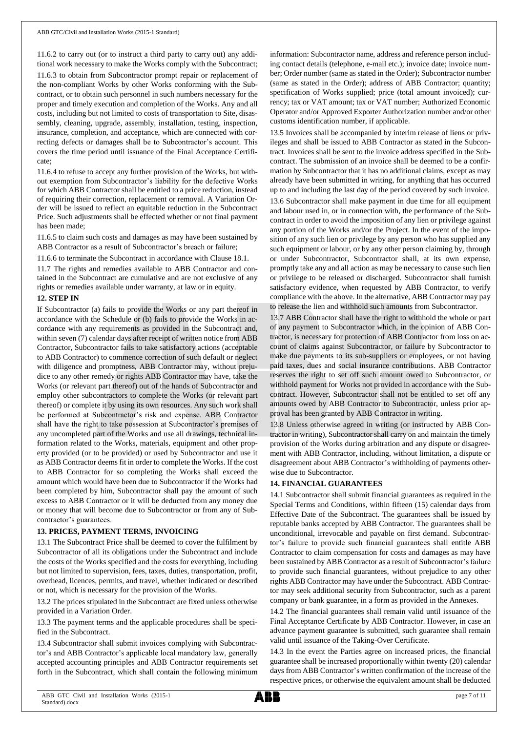11.6.2 to carry out (or to instruct a third party to carry out) any additional work necessary to make the Works comply with the Subcontract; 11.6.3 to obtain from Subcontractor prompt repair or replacement of the non-compliant Works by other Works conforming with the Subcontract, or to obtain such personnel in such numbers necessary for the proper and timely execution and completion of the Works. Any and all costs, including but not limited to costs of transportation to Site, disassembly, cleaning, upgrade, assembly, installation, testing, inspection, insurance, completion, and acceptance, which are connected with correcting defects or damages shall be to Subcontractor's account. This covers the time period until issuance of the Final Acceptance Certificate;

11.6.4 to refuse to accept any further provision of the Works, but without exemption from Subcontractor's liability for the defective Works for which ABB Contractor shall be entitled to a price reduction, instead of requiring their correction, replacement or removal. A Variation Order will be issued to reflect an equitable reduction in the Subcontract Price. Such adjustments shall be effected whether or not final payment has been made;

11.6.5 to claim such costs and damages as may have been sustained by ABB Contractor as a result of Subcontractor's breach or failure;

11.6.6 to terminate the Subcontract in accordance with Clause 18.1.

11.7 The rights and remedies available to ABB Contractor and contained in the Subcontract are cumulative and are not exclusive of any rights or remedies available under warranty, at law or in equity.

### **12. STEP IN**

If Subcontractor (a) fails to provide the Works or any part thereof in accordance with the Schedule or (b) fails to provide the Works in accordance with any requirements as provided in the Subcontract and, within seven (7) calendar days after receipt of written notice from ABB Contractor, Subcontractor fails to take satisfactory actions (acceptable to ABB Contractor) to commence correction of such default or neglect with diligence and promptness, ABB Contractor may, without prejudice to any other remedy or rights ABB Contractor may have, take the Works (or relevant part thereof) out of the hands of Subcontractor and employ other subcontractors to complete the Works (or relevant part thereof) or complete it by using its own resources. Any such work shall be performed at Subcontractor's risk and expense. ABB Contractor shall have the right to take possession at Subcontractor's premises of any uncompleted part of the Works and use all drawings, technical information related to the Works, materials, equipment and other property provided (or to be provided) or used by Subcontractor and use it as ABB Contractor deems fit in order to complete the Works. If the cost to ABB Contractor for so completing the Works shall exceed the amount which would have been due to Subcontractor if the Works had been completed by him, Subcontractor shall pay the amount of such excess to ABB Contractor or it will be deducted from any money due or money that will become due to Subcontractor or from any of Subcontractor's guarantees.

### **13. PRICES, PAYMENT TERMS, INVOICING**

13.1 The Subcontract Price shall be deemed to cover the fulfilment by Subcontractor of all its obligations under the Subcontract and include the costs of the Works specified and the costs for everything, including but not limited to supervision, fees, taxes, duties, transportation, profit, overhead, licences, permits, and travel, whether indicated or described or not, which is necessary for the provision of the Works.

13.2 The prices stipulated in the Subcontract are fixed unless otherwise provided in a Variation Order.

13.3 The payment terms and the applicable procedures shall be specified in the Subcontract.

13.4 Subcontractor shall submit invoices complying with Subcontractor's and ABB Contractor's applicable local mandatory law, generally accepted accounting principles and ABB Contractor requirements set forth in the Subcontract, which shall contain the following minimum information: Subcontractor name, address and reference person including contact details (telephone, e-mail etc.); invoice date; invoice number; Order number (same as stated in the Order); Subcontractor number (same as stated in the Order); address of ABB Contractor; quantity; specification of Works supplied; price (total amount invoiced); currency; tax or VAT amount; tax or VAT number; Authorized Economic Operator and/or Approved Exporter Authorization number and/or other customs identification number, if applicable.

13.5 Invoices shall be accompanied by interim release of liens or privileges and shall be issued to ABB Contractor as stated in the Subcontract. Invoices shall be sent to the invoice address specified in the Subcontract. The submission of an invoice shall be deemed to be a confirmation by Subcontractor that it has no additional claims, except as may already have been submitted in writing, for anything that has occurred up to and including the last day of the period covered by such invoice.

13.6 Subcontractor shall make payment in due time for all equipment and labour used in, or in connection with, the performance of the Subcontract in order to avoid the imposition of any lien or privilege against any portion of the Works and/or the Project. In the event of the imposition of any such lien or privilege by any person who has supplied any such equipment or labour, or by any other person claiming by, through or under Subcontractor, Subcontractor shall, at its own expense, promptly take any and all action as may be necessary to cause such lien or privilege to be released or discharged. Subcontractor shall furnish satisfactory evidence, when requested by ABB Contractor, to verify compliance with the above. In the alternative, ABB Contractor may pay to release the lien and withhold such amounts from Subcontractor.

13.7 ABB Contractor shall have the right to withhold the whole or part of any payment to Subcontractor which, in the opinion of ABB Contractor, is necessary for protection of ABB Contractor from loss on account of claims against Subcontractor, or failure by Subcontractor to make due payments to its sub-suppliers or employees, or not having paid taxes, dues and social insurance contributions. ABB Contractor reserves the right to set off such amount owed to Subcontractor, or withhold payment for Works not provided in accordance with the Subcontract. However, Subcontractor shall not be entitled to set off any amounts owed by ABB Contractor to Subcontractor, unless prior approval has been granted by ABB Contractor in writing.

13.8 Unless otherwise agreed in writing (or instructed by ABB Contractor in writing), Subcontractorshall carry on and maintain the timely provision of the Works during arbitration and any dispute or disagreement with ABB Contractor, including, without limitation, a dispute or disagreement about ABB Contractor's withholding of payments otherwise due to Subcontractor.

### **14. FINANCIAL GUARANTEES**

14.1 Subcontractor shall submit financial guarantees as required in the Special Terms and Conditions, within fifteen (15) calendar days from Effective Date of the Subcontract. The guarantees shall be issued by reputable banks accepted by ABB Contractor. The guarantees shall be unconditional, irrevocable and payable on first demand. Subcontractor's failure to provide such financial guarantees shall entitle ABB Contractor to claim compensation for costs and damages as may have been sustained by ABB Contractor as a result of Subcontractor's failure to provide such financial guarantees, without prejudice to any other rights ABB Contractor may have under the Subcontract. ABB Contractor may seek additional security from Subcontractor, such as a parent company or bank guarantee, in a form as provided in the Annexes.

14.2 The financial guarantees shall remain valid until issuance of the Final Acceptance Certificate by ABB Contractor. However, in case an advance payment guarantee is submitted, such guarantee shall remain valid until issuance of the Taking-Over Certificate.

14.3 In the event the Parties agree on increased prices, the financial guarantee shall be increased proportionally within twenty (20) calendar days from ABB Contractor's written confirmation of the increase of the respective prices, or otherwise the equivalent amount shall be deducted

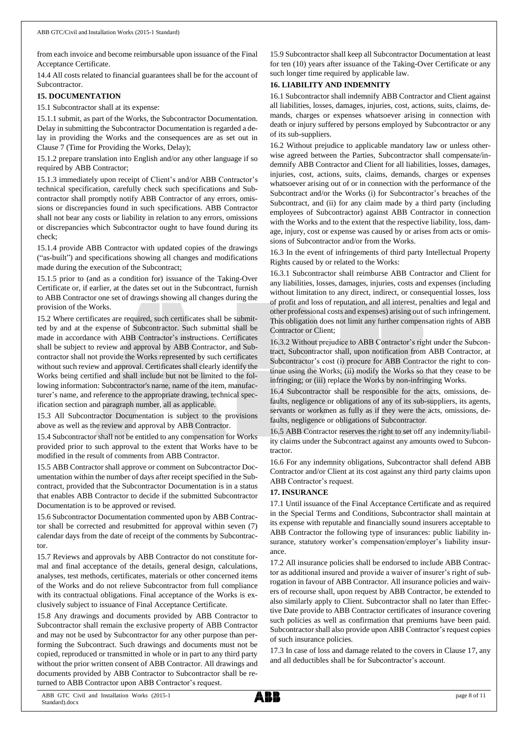from each invoice and become reimbursable upon issuance of the Final Acceptance Certificate.

14.4 All costs related to financial guarantees shall be for the account of Subcontractor.

## **15. DOCUMENTATION**

15.1 Subcontractor shall at its expense:

15.1.1 submit, as part of the Works, the Subcontractor Documentation. Delay in submitting the Subcontractor Documentation is regarded a delay in providing the Works and the consequences are as set out in Clause 7 (Time for Providing the Works, Delay);

15.1.2 prepare translation into English and/or any other language if so required by ABB Contractor;

15.1.3 immediately upon receipt of Client's and/or ABB Contractor's technical specification, carefully check such specifications and Subcontractor shall promptly notify ABB Contractor of any errors, omissions or discrepancies found in such specifications. ABB Contractor shall not bear any costs or liability in relation to any errors, omissions or discrepancies which Subcontractor ought to have found during its check;

15.1.4 provide ABB Contractor with updated copies of the drawings ("as-built") and specifications showing all changes and modifications made during the execution of the Subcontract;

15.1.5 prior to (and as a condition for) issuance of the Taking-Over Certificate or, if earlier, at the dates set out in the Subcontract, furnish to ABB Contractor one set of drawings showing all changes during the provision of the Works.

15.2 Where certificates are required, such certificates shall be submitted by and at the expense of Subcontractor. Such submittal shall be made in accordance with ABB Contractor's instructions. Certificates shall be subject to review and approval by ABB Contractor, and Subcontractor shall not provide the Works represented by such certificates without such review and approval. Certificates shall clearly identify the Works being certified and shall include but not be limited to the following information: Subcontractor's name, name of the item, manufacturer's name, and reference to the appropriate drawing, technical specification section and paragraph number, all as applicable.

15.3 All Subcontractor Documentation is subject to the provisions above as well as the review and approval by ABB Contractor.

15.4 Subcontractor shall not be entitled to any compensation for Works provided prior to such approval to the extent that Works have to be modified in the result of comments from ABB Contractor.

15.5 ABB Contractor shall approve or comment on Subcontractor Documentation within the number of days after receipt specified in the Subcontract, provided that the Subcontractor Documentation is in a status that enables ABB Contractor to decide if the submitted Subcontractor Documentation is to be approved or revised.

15.6 Subcontractor Documentation commented upon by ABB Contractor shall be corrected and resubmitted for approval within seven (7) calendar days from the date of receipt of the comments by Subcontractor.

15.7 Reviews and approvals by ABB Contractor do not constitute formal and final acceptance of the details, general design, calculations, analyses, test methods, certificates, materials or other concerned items of the Works and do not relieve Subcontractor from full compliance with its contractual obligations. Final acceptance of the Works is exclusively subject to issuance of Final Acceptance Certificate.

15.8 Any drawings and documents provided by ABB Contractor to Subcontractor shall remain the exclusive property of ABB Contractor and may not be used by Subcontractor for any other purpose than performing the Subcontract. Such drawings and documents must not be copied, reproduced or transmitted in whole or in part to any third party without the prior written consent of ABB Contractor. All drawings and documents provided by ABB Contractor to Subcontractor shall be returned to ABB Contractor upon ABB Contractor's request.

15.9 Subcontractor shall keep all Subcontractor Documentation at least for ten (10) years after issuance of the Taking-Over Certificate or any such longer time required by applicable law.

# **16. LIABILITY AND INDEMNITY**

16.1 Subcontractor shall indemnify ABB Contractor and Client against all liabilities, losses, damages, injuries, cost, actions, suits, claims, demands, charges or expenses whatsoever arising in connection with death or injury suffered by persons employed by Subcontractor or any of its sub-suppliers.

16.2 Without prejudice to applicable mandatory law or unless otherwise agreed between the Parties, Subcontractor shall compensate/indemnify ABB Contractor and Client for all liabilities, losses, damages, injuries, cost, actions, suits, claims, demands, charges or expenses whatsoever arising out of or in connection with the performance of the Subcontract and/or the Works (i) for Subcontractor's breaches of the Subcontract, and (ii) for any claim made by a third party (including employees of Subcontractor) against ABB Contractor in connection with the Works and to the extent that the respective liability, loss, damage, injury, cost or expense was caused by or arises from acts or omissions of Subcontractor and/or from the Works.

16.3 In the event of infringements of third party Intellectual Property Rights caused by or related to the Works:

16.3.1 Subcontractor shall reimburse ABB Contractor and Client for any liabilities, losses, damages, injuries, costs and expenses (including without limitation to any direct, indirect, or consequential losses, loss of profit and loss of reputation, and all interest, penalties and legal and other professional costs and expenses) arising out of such infringement. This obligation does not limit any further compensation rights of ABB Contractor or Client;

16.3.2 Without prejudice to ABB Contractor's right under the Subcontract, Subcontractor shall, upon notification from ABB Contractor, at Subcontractor's cost (i) procure for ABB Contractor the right to continue using the Works; (ii) modify the Works so that they cease to be infringing; or (iii) replace the Works by non-infringing Works.

16.4 Subcontractor shall be responsible for the acts, omissions, defaults, negligence or obligations of any of its sub-suppliers, its agents, servants or workmen as fully as if they were the acts, omissions, defaults, negligence or obligations of Subcontractor.

16.5 ABB Contractor reserves the right to set off any indemnity/liability claims under the Subcontract against any amounts owed to Subcontractor.

16.6 For any indemnity obligations, Subcontractor shall defend ABB Contractor and/or Client at its cost against any third party claims upon ABB Contractor's request.

# **17. INSURANCE**

17.1 Until issuance of the Final Acceptance Certificate and as required in the Special Terms and Conditions, Subcontractor shall maintain at its expense with reputable and financially sound insurers acceptable to ABB Contractor the following type of insurances: public liability insurance, statutory worker's compensation/employer's liability insurance.

17.2 All insurance policies shall be endorsed to include ABB Contractor as additional insured and provide a waiver of insurer's right of subrogation in favour of ABB Contractor. All insurance policies and waivers of recourse shall, upon request by ABB Contractor, be extended to also similarly apply to Client. Subcontractor shall no later than Effective Date provide to ABB Contractor certificates of insurance covering such policies as well as confirmation that premiums have been paid. Subcontractor shall also provide upon ABB Contractor's request copies of such insurance policies.

17.3 In case of loss and damage related to the covers in Clause 17, any and all deductibles shall be for Subcontractor's account.

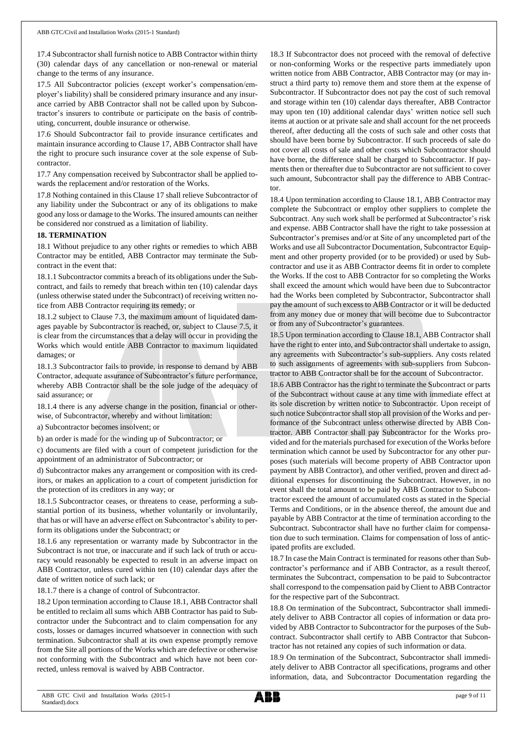17.4 Subcontractor shall furnish notice to ABB Contractor within thirty (30) calendar days of any cancellation or non-renewal or material change to the terms of any insurance.

17.5 All Subcontractor policies (except worker's compensation/employer's liability) shall be considered primary insurance and any insurance carried by ABB Contractor shall not be called upon by Subcontractor's insurers to contribute or participate on the basis of contributing, concurrent, double insurance or otherwise.

17.6 Should Subcontractor fail to provide insurance certificates and maintain insurance according to Clause 17, ABB Contractor shall have the right to procure such insurance cover at the sole expense of Subcontractor.

17.7 Any compensation received by Subcontractor shall be applied towards the replacement and/or restoration of the Works.

17.8 Nothing contained in this Clause 17 shall relieve Subcontractor of any liability under the Subcontract or any of its obligations to make good any loss or damage to the Works. The insured amounts can neither be considered nor construed as a limitation of liability.

### **18. TERMINATION**

18.1 Without prejudice to any other rights or remedies to which ABB Contractor may be entitled, ABB Contractor may terminate the Subcontract in the event that:

18.1.1 Subcontractor commits a breach of its obligations under the Subcontract, and fails to remedy that breach within ten (10) calendar days (unless otherwise stated under the Subcontract) of receiving written notice from ABB Contractor requiring its remedy; or

18.1.2 subject to Clause 7.3, the maximum amount of liquidated damages payable by Subcontractor is reached, or, subject to Clause 7.5, it is clear from the circumstances that a delay will occur in providing the Works which would entitle ABB Contractor to maximum liquidated damages; or

18.1.3 Subcontractor fails to provide, in response to demand by ABB Contractor, adequate assurance of Subcontractor's future performance, whereby ABB Contractor shall be the sole judge of the adequacy of said assurance; or

18.1.4 there is any adverse change in the position, financial or otherwise, of Subcontractor, whereby and without limitation:

a) Subcontractor becomes insolvent; or

b) an order is made for the winding up of Subcontractor; or

c) documents are filed with a court of competent jurisdiction for the appointment of an administrator of Subcontractor; or

d) Subcontractor makes any arrangement or composition with its creditors, or makes an application to a court of competent jurisdiction for the protection of its creditors in any way; or

18.1.5 Subcontractor ceases, or threatens to cease, performing a substantial portion of its business, whether voluntarily or involuntarily, that has or will have an adverse effect on Subcontractor's ability to perform its obligations under the Subcontract; or

18.1.6 any representation or warranty made by Subcontractor in the Subcontract is not true, or inaccurate and if such lack of truth or accuracy would reasonably be expected to result in an adverse impact on ABB Contractor, unless cured within ten (10) calendar days after the date of written notice of such lack; or

18.1.7 there is a change of control of Subcontractor.

18.2 Upon termination according to Clause 18.1, ABB Contractor shall be entitled to reclaim all sums which ABB Contractor has paid to Subcontractor under the Subcontract and to claim compensation for any costs, losses or damages incurred whatsoever in connection with such termination. Subcontractor shall at its own expense promptly remove from the Site all portions of the Works which are defective or otherwise not conforming with the Subcontract and which have not been corrected, unless removal is waived by ABB Contractor.

18.3 If Subcontractor does not proceed with the removal of defective or non-conforming Works or the respective parts immediately upon written notice from ABB Contractor, ABB Contractor may (or may instruct a third party to) remove them and store them at the expense of Subcontractor. If Subcontractor does not pay the cost of such removal and storage within ten (10) calendar days thereafter, ABB Contractor may upon ten (10) additional calendar days' written notice sell such items at auction or at private sale and shall account for the net proceeds thereof, after deducting all the costs of such sale and other costs that should have been borne by Subcontractor. If such proceeds of sale do not cover all costs of sale and other costs which Subcontractor should have borne, the difference shall be charged to Subcontractor. If payments then or thereafter due to Subcontractor are not sufficient to cover such amount, Subcontractor shall pay the difference to ABB Contractor.

18.4 Upon termination according to Clause 18.1, ABB Contractor may complete the Subcontract or employ other suppliers to complete the Subcontract. Any such work shall be performed at Subcontractor's risk and expense. ABB Contractor shall have the right to take possession at Subcontractor's premises and/or at Site of any uncompleted part of the Works and use all Subcontractor Documentation, Subcontractor Equipment and other property provided (or to be provided) or used by Subcontractor and use it as ABB Contractor deems fit in order to complete the Works. If the cost to ABB Contractor for so completing the Works shall exceed the amount which would have been due to Subcontractor had the Works been completed by Subcontractor, Subcontractor shall pay the amount of such excess to ABB Contractor or it will be deducted from any money due or money that will become due to Subcontractor or from any of Subcontractor's guarantees.

18.5 Upon termination according to Clause 18.1, ABB Contractor shall have the right to enter into, and Subcontractor shall undertake to assign, any agreements with Subcontractor's sub-suppliers. Any costs related to such assignments of agreements with sub-suppliers from Subcontractor to ABB Contractor shall be for the account of Subcontractor.

18.6 ABB Contractor has the right to terminate the Subcontract or parts of the Subcontract without cause at any time with immediate effect at its sole discretion by written notice to Subcontractor. Upon receipt of such notice Subcontractor shall stop all provision of the Works and performance of the Subcontract unless otherwise directed by ABB Contractor. ABB Contractor shall pay Subcontractor for the Works provided and for the materials purchased for execution of the Works before termination which cannot be used by Subcontractor for any other purposes (such materials will become property of ABB Contractor upon payment by ABB Contractor), and other verified, proven and direct additional expenses for discontinuing the Subcontract. However, in no event shall the total amount to be paid by ABB Contractor to Subcontractor exceed the amount of accumulated costs as stated in the Special Terms and Conditions, or in the absence thereof, the amount due and payable by ABB Contractor at the time of termination according to the Subcontract. Subcontractor shall have no further claim for compensation due to such termination. Claims for compensation of loss of anticipated profits are excluded.

18.7 In case the Main Contract is terminated for reasons other than Subcontractor's performance and if ABB Contractor, as a result thereof, terminates the Subcontract, compensation to be paid to Subcontractor shall correspond to the compensation paid by Client to ABB Contractor for the respective part of the Subcontract.

18.8 On termination of the Subcontract, Subcontractor shall immediately deliver to ABB Contractor all copies of information or data provided by ABB Contractor to Subcontractor for the purposes of the Subcontract. Subcontractor shall certify to ABB Contractor that Subcontractor has not retained any copies of such information or data.

18.9 On termination of the Subcontract, Subcontractor shall immediately deliver to ABB Contractor all specifications, programs and other information, data, and Subcontractor Documentation regarding the

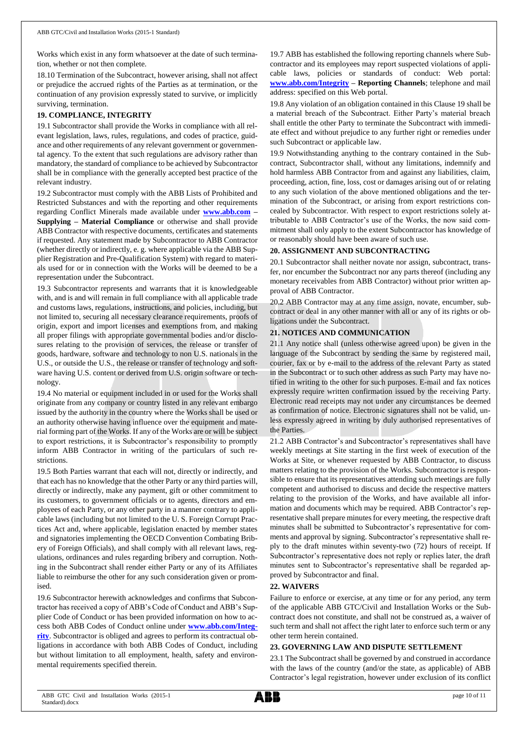Works which exist in any form whatsoever at the date of such termination, whether or not then complete.

18.10 Termination of the Subcontract, however arising, shall not affect or prejudice the accrued rights of the Parties as at termination, or the continuation of any provision expressly stated to survive, or implicitly surviving, termination.

# **19. COMPLIANCE, INTEGRITY**

19.1 Subcontractor shall provide the Works in compliance with all relevant legislation, laws, rules, regulations, and codes of practice, guidance and other requirements of any relevant government or governmental agency. To the extent that such regulations are advisory rather than mandatory, the standard of compliance to be achieved by Subcontractor shall be in compliance with the generally accepted best practice of the relevant industry.

19.2 Subcontractor must comply with the ABB Lists of Prohibited and Restricted Substances and with the reporting and other requirements regarding Conflict Minerals made available under **[www.abb.com](http://www.abb.com/) – Supplying – Material Compliance** or otherwise and shall provide ABB Contractor with respective documents, certificates and statements if requested. Any statement made by Subcontractor to ABB Contractor (whether directly or indirectly, e. g. where applicable via the ABB Supplier Registration and Pre-Qualification System) with regard to materials used for or in connection with the Works will be deemed to be a representation under the Subcontract.

19.3 Subcontractor represents and warrants that it is knowledgeable with, and is and will remain in full compliance with all applicable trade and customs laws, regulations, instructions, and policies, including, but not limited to, securing all necessary clearance requirements, proofs of origin, export and import licenses and exemptions from, and making all proper filings with appropriate governmental bodies and/or disclosures relating to the provision of services, the release or transfer of goods, hardware, software and technology to non U.S. nationals in the U.S., or outside the U.S., the release or transfer of technology and software having U.S. content or derived from U.S. origin software or technology.

19.4 No material or equipment included in or used for the Works shall originate from any company or country listed in any relevant embargo issued by the authority in the country where the Works shall be used or an authority otherwise having influence over the equipment and material forming part of the Works. If any of the Works are or will be subject to export restrictions, it is Subcontractor's responsibility to promptly inform ABB Contractor in writing of the particulars of such restrictions.

19.5 Both Parties warrant that each will not, directly or indirectly, and that each has no knowledge that the other Party or any third parties will, directly or indirectly, make any payment, gift or other commitment to its customers, to government officials or to agents, directors and employees of each Party, or any other party in a manner contrary to applicable laws (including but not limited to the U. S. Foreign Corrupt Practices Act and, where applicable, legislation enacted by member states and signatories implementing the OECD Convention Combating Bribery of Foreign Officials), and shall comply with all relevant laws, regulations, ordinances and rules regarding bribery and corruption. Nothing in the Subcontract shall render either Party or any of its Affiliates liable to reimburse the other for any such consideration given or promised.

19.6 Subcontractor herewith acknowledges and confirms that Subcontractor has received a copy of ABB's Code of Conduct and ABB's Supplier Code of Conduct or has been provided information on how to access both ABB Codes of Conduct online under **[www.abb.com/Integ](http://www.abb.com/Integrity)[rity](http://www.abb.com/Integrity)**. Subcontractor is obliged and agrees to perform its contractual obligations in accordance with both ABB Codes of Conduct, including but without limitation to all employment, health, safety and environmental requirements specified therein.

19.7 ABB has established the following reporting channels where Subcontractor and its employees may report suspected violations of applicable laws, policies or standards of conduct: Web portal: **[www.abb.com/Integrity](http://www.abb.com/Integrity) – Reporting Channels**; telephone and mail address: specified on this Web portal.

19.8 Any violation of an obligation contained in this Clause 19 shall be a material breach of the Subcontract. Either Party's material breach shall entitle the other Party to terminate the Subcontract with immediate effect and without prejudice to any further right or remedies under such Subcontract or applicable law.

19.9 Notwithstanding anything to the contrary contained in the Subcontract, Subcontractor shall, without any limitations, indemnify and hold harmless ABB Contractor from and against any liabilities, claim, proceeding, action, fine, loss, cost or damages arising out of or relating to any such violation of the above mentioned obligations and the termination of the Subcontract, or arising from export restrictions concealed by Subcontractor. With respect to export restrictions solely attributable to ABB Contractor's use of the Works, the now said commitment shall only apply to the extent Subcontractor has knowledge of or reasonably should have been aware of such use.

# **20. ASSIGNMENT AND SUBCONTRACTING**

20.1 Subcontractor shall neither novate nor assign, subcontract, transfer, nor encumber the Subcontract nor any parts thereof (including any monetary receivables from ABB Contractor) without prior written approval of ABB Contractor.

20.2 ABB Contractor may at any time assign, novate, encumber, subcontract or deal in any other manner with all or any of its rights or obligations under the Subcontract.

# **21. NOTICES AND COMMUNICATION**

21.1 Any notice shall (unless otherwise agreed upon) be given in the language of the Subcontract by sending the same by registered mail, courier, fax or by e-mail to the address of the relevant Party as stated in the Subcontract or to such other address as such Party may have notified in writing to the other for such purposes. E-mail and fax notices expressly require written confirmation issued by the receiving Party. Electronic read receipts may not under any circumstances be deemed as confirmation of notice. Electronic signatures shall not be valid, unless expressly agreed in writing by duly authorised representatives of the Parties.

21.2 ABB Contractor's and Subcontractor's representatives shall have weekly meetings at Site starting in the first week of execution of the Works at Site, or whenever requested by ABB Contractor, to discuss matters relating to the provision of the Works. Subcontractor is responsible to ensure that its representatives attending such meetings are fully competent and authorised to discuss and decide the respective matters relating to the provision of the Works, and have available all information and documents which may be required. ABB Contractor's representative shall prepare minutes for every meeting, the respective draft minutes shall be submitted to Subcontractor's representative for comments and approval by signing. Subcontractor's representative shall reply to the draft minutes within seventy-two (72) hours of receipt. If Subcontractor's representative does not reply or replies later, the draft minutes sent to Subcontractor's representative shall be regarded approved by Subcontractor and final.

### **22. WAIVERS**

Failure to enforce or exercise, at any time or for any period, any term of the applicable ABB GTC/Civil and Installation Works or the Subcontract does not constitute, and shall not be construed as, a waiver of such term and shall not affect the right later to enforce such term or any other term herein contained.

# **23. GOVERNING LAW AND DISPUTE SETTLEMENT**

23.1 The Subcontract shall be governed by and construed in accordance with the laws of the country (and/or the state, as applicable) of ABB Contractor's legal registration, however under exclusion of its conflict